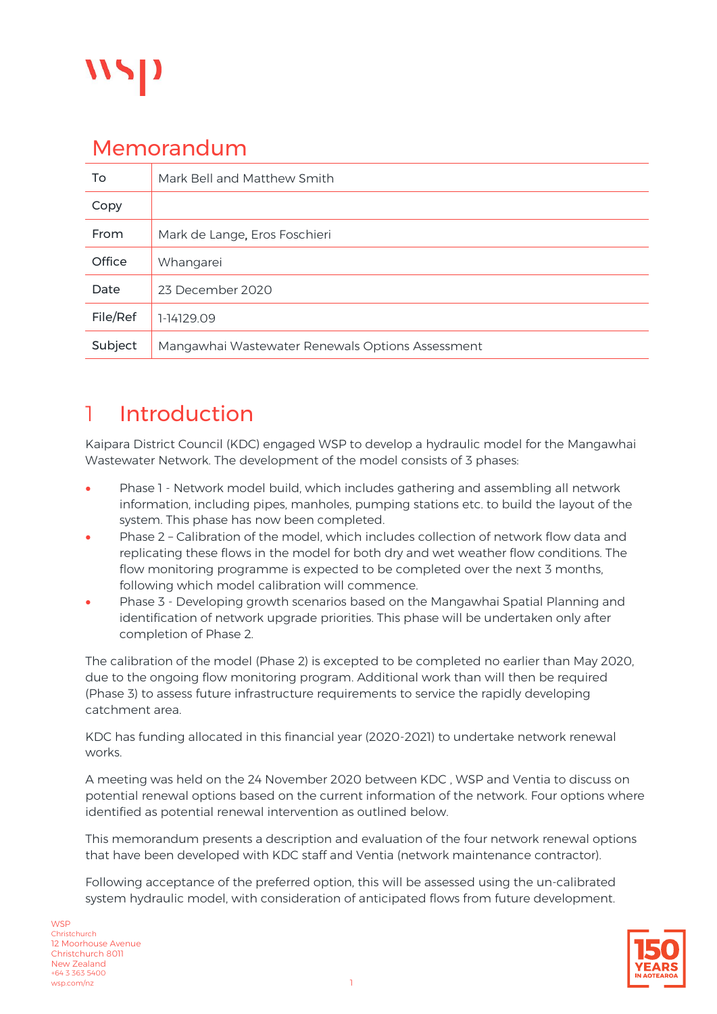

### Memorandum

| To       | Mark Bell and Matthew Smith                      |
|----------|--------------------------------------------------|
| Copy     |                                                  |
| From     | Mark de Lange, Eros Foschieri                    |
| Office   | Whangarei                                        |
| Date     | 23 December 2020                                 |
| File/Ref | 1-14129.09                                       |
| Subject  | Mangawhai Wastewater Renewals Options Assessment |

## 1 Introduction

Kaipara District Council (KDC) engaged WSP to develop a hydraulic model for the Mangawhai Wastewater Network. The development of the model consists of 3 phases:

- Phase 1 Network model build, which includes gathering and assembling all network information, including pipes, manholes, pumping stations etc. to build the layout of the system. This phase has now been completed.
- Phase 2 Calibration of the model, which includes collection of network flow data and replicating these flows in the model for both dry and wet weather flow conditions. The flow monitoring programme is expected to be completed over the next 3 months, following which model calibration will commence.
- Phase 3 Developing growth scenarios based on the Mangawhai Spatial Planning and identification of network upgrade priorities. This phase will be undertaken only after completion of Phase 2.

The calibration of the model (Phase 2) is excepted to be completed no earlier than May 2020, due to the ongoing flow monitoring program. Additional work than will then be required (Phase 3) to assess future infrastructure requirements to service the rapidly developing catchment area.

KDC has funding allocated in this financial year (2020-2021) to undertake network renewal works.

A meeting was held on the 24 November 2020 between KDC , WSP and Ventia to discuss on potential renewal options based on the current information of the network. Four options where identified as potential renewal intervention as outlined below.

This memorandum presents a description and evaluation of the four network renewal options that have been developed with KDC staff and Ventia (network maintenance contractor).

Following acceptance of the preferred option, this will be assessed using the un-calibrated system hydraulic model, with consideration of anticipated flows from future development.

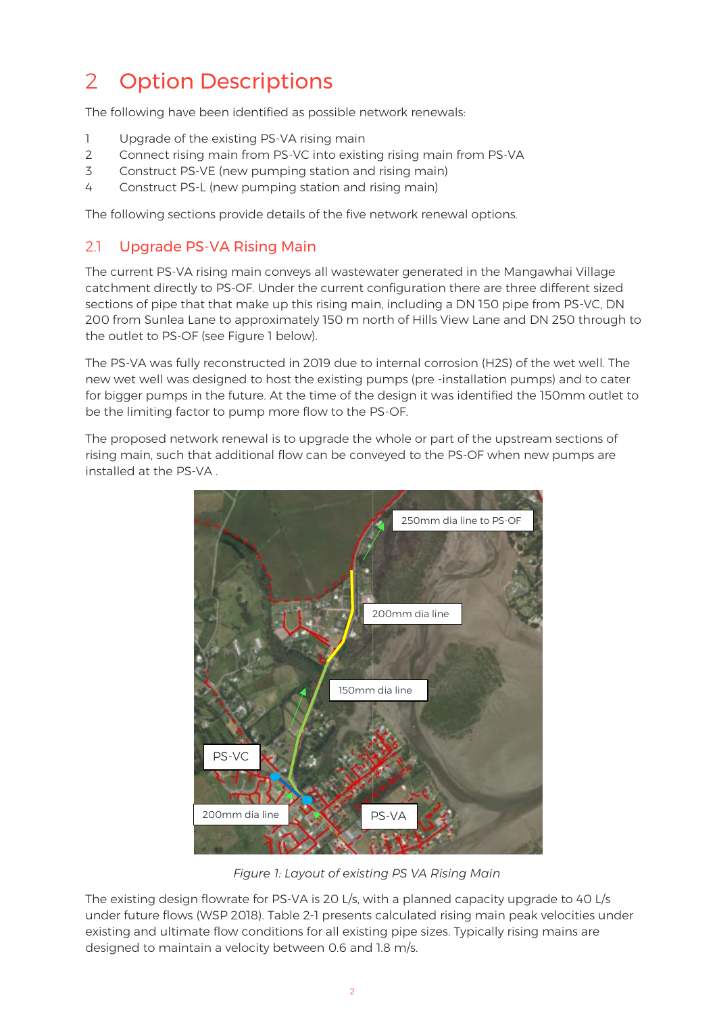## <span id="page-1-1"></span>2 Option Descriptions

The following have been identified as possible network renewals:

- 1 Upgrade of the existing PS-VA rising main
- 2 Connect rising main from PS-VC into existing rising main from PS-VA
- 3 Construct PS-VE (new pumping station and rising main)
- 4 Construct PS-L (new pumping station and rising main)

The following sections provide details of the five network renewal options.

#### 2.1 Upgrade PS-VA Rising Main

The current PS-VA rising main conveys all wastewater generated in the Mangawhai Village catchment directly to PS-OF. Under the current configuration there are three different sized sections of pipe that that make up this rising main, including a DN 150 pipe from PS-VC, DN 200 from Sunlea Lane to approximately 150 m north of Hills View Lane and DN 250 through to the outlet to PS-OF (see [Figure 1](#page-1-0) below).

The PS-VA was fully reconstructed in 2019 due to internal corrosion (H2S) of the wet well. The new wet well was designed to host the existing pumps (pre -installation pumps) and to cater for bigger pumps in the future. At the time of the design it was identified the 150mm outlet to be the limiting factor to pump more flow to the PS-OF.

The proposed network renewal is to upgrade the whole or part of the upstream sections of rising main, such that additional flow can be conveyed to the PS-OF when new pumps are installed at the PS-VA .



*Figure 1: Layout of existing PS VA Rising Main*

<span id="page-1-0"></span>The existing design flowrate for PS-VA is 20 L/s, with a planned capacity upgrade to 40 L/s under future flows (WSP 2018). [Table 2-1](#page-2-0) presents calculated rising main peak velocities under existing and ultimate flow conditions for all existing pipe sizes. Typically rising mains are designed to maintain a velocity between 0.6 and 1.8 m/s.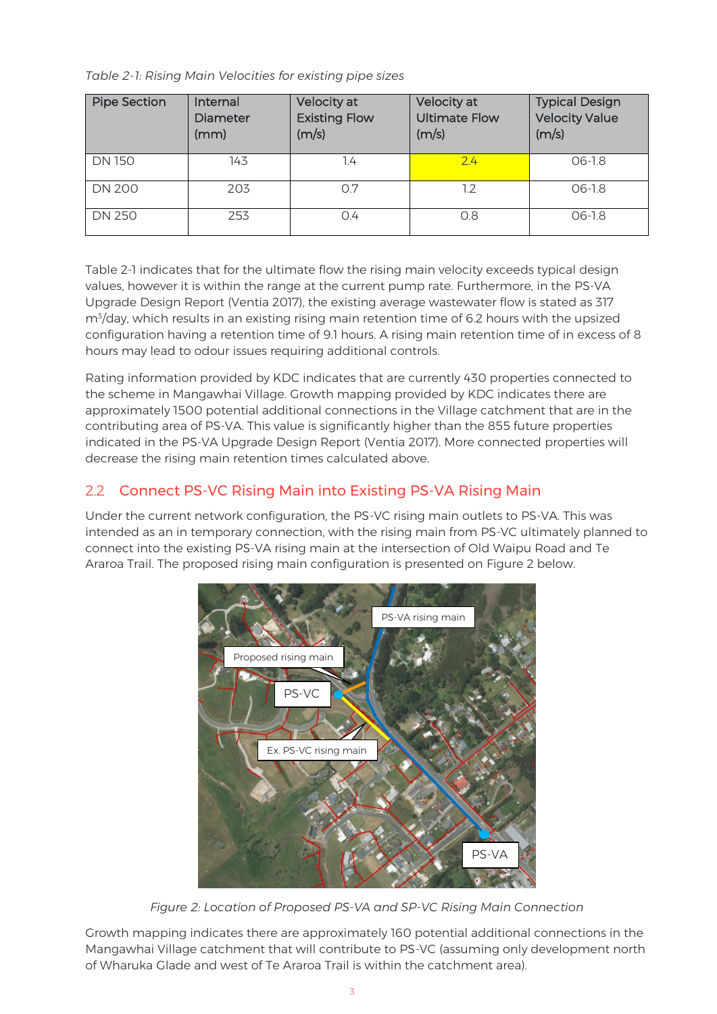<span id="page-2-0"></span>*Table 2-1: Rising Main Velocities for existing pipe sizes*

| <b>Pipe Section</b> | Internal<br><b>Diameter</b><br>(mm) | Velocity at<br><b>Existing Flow</b><br>(m/s) | Velocity at<br><b>Ultimate Flow</b><br>(m/s) | <b>Typical Design</b><br><b>Velocity Value</b><br>(m/s) |
|---------------------|-------------------------------------|----------------------------------------------|----------------------------------------------|---------------------------------------------------------|
| <b>DN150</b>        | 143                                 | 1.4                                          | 7.4                                          | $06 - 1.8$                                              |
| <b>DN 200</b>       | 203                                 | 0.7                                          | 1.2                                          | $06 - 1.8$                                              |
| <b>DN 250</b>       | 253                                 | 0.4                                          | O.8                                          | $06 - 1.8$                                              |

[Table 2-1](#page-2-0) indicates that for the ultimate flow the rising main velocity exceeds typical design values, however it is within the range at the current pump rate. Furthermore, in the PS-VA Upgrade Design Report (Ventia 2017), the existing average wastewater flow is stated as 317 m<sup>3</sup> /day, which results in an existing rising main retention time of 6.2 hours with the upsized configuration having a retention time of 9.1 hours. A rising main retention time of in excess of 8 hours may lead to odour issues requiring additional controls.

Rating information provided by KDC indicates that are currently 430 properties connected to the scheme in Mangawhai Village. Growth mapping provided by KDC indicates there are approximately 1500 potential additional connections in the Village catchment that are in the contributing area of PS-VA. This value is significantly higher than the 855 future properties indicated in the PS-VA Upgrade Design Report (Ventia 2017). More connected properties will decrease the rising main retention times calculated above.

#### 2.2 Connect PS-VC Rising Main into Existing PS-VA Rising Main

Under the current network configuration, the PS-VC rising main outlets to PS-VA. This was intended as an in temporary connection, with the rising main from PS-VC ultimately planned to connect into the existing PS-VA rising main at the intersection of Old Waipu Road and Te Araroa Trail. The proposed rising main configuration is presented on [Figure 2](#page-2-1) below.



*Figure 2: Location of Proposed PS-VA and SP-VC Rising Main Connection*

<span id="page-2-1"></span>Growth mapping indicates there are approximately 160 potential additional connections in the Mangawhai Village catchment that will contribute to PS-VC (assuming only development north of Wharuka Glade and west of Te Araroa Trail is within the catchment area).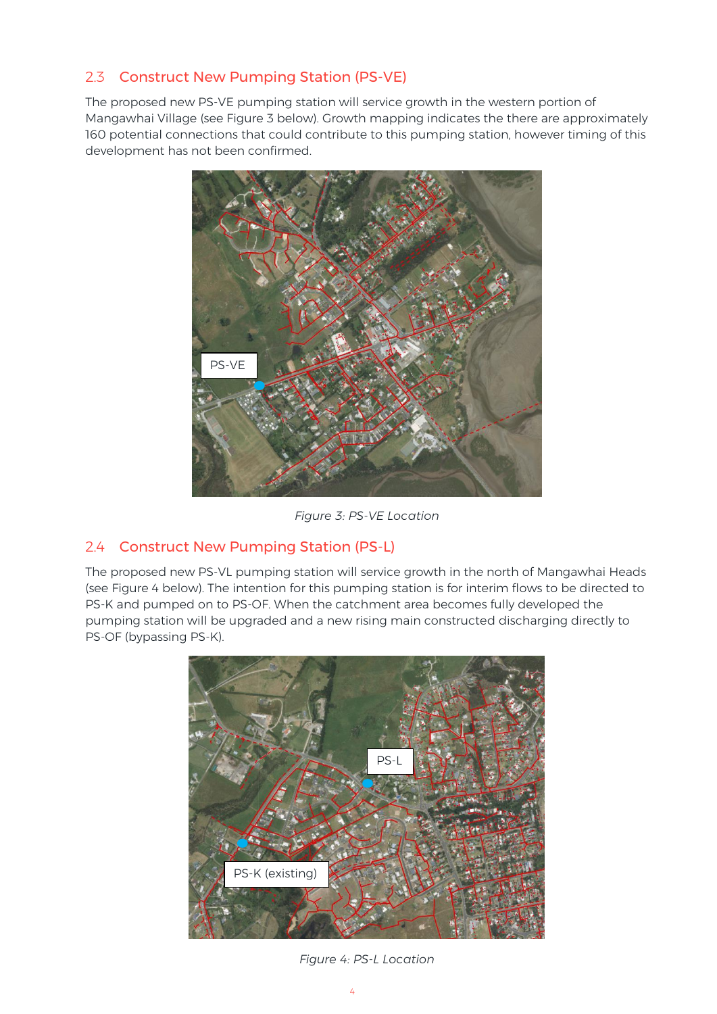#### 2.3 Construct New Pumping Station (PS-VE)

The proposed new PS-VE pumping station will service growth in the western portion of Mangawhai Village (see [Figure 3](#page-3-0) below). Growth mapping indicates the there are approximately 160 potential connections that could contribute to this pumping station, however timing of this development has not been confirmed.



*Figure 3: PS-VE Location*

#### <span id="page-3-0"></span>2.4 Construct New Pumping Station (PS-L)

The proposed new PS-VL pumping station will service growth in the north of Mangawhai Heads (see [Figure 4](#page-3-1) below). The intention for this pumping station is for interim flows to be directed to PS-K and pumped on to PS-OF. When the catchment area becomes fully developed the pumping station will be upgraded and a new rising main constructed discharging directly to PS-OF (bypassing PS-K).

<span id="page-3-1"></span>

*Figure 4: PS-L Location*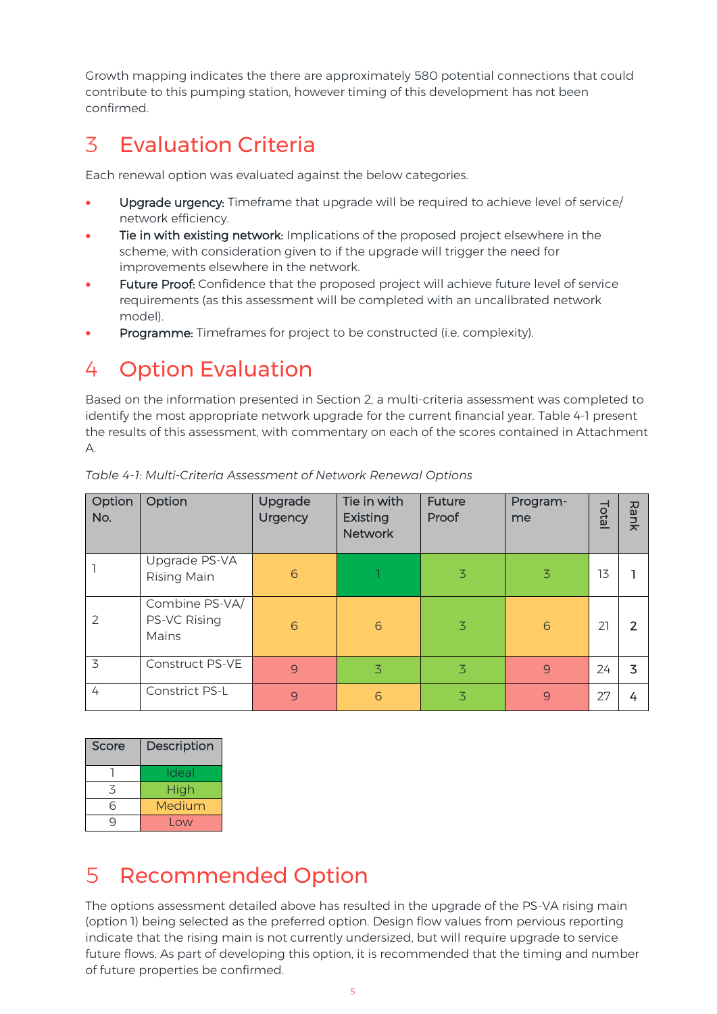Growth mapping indicates the there are approximately 580 potential connections that could contribute to this pumping station, however timing of this development has not been confirmed.

## 3 Evaluation Criteria

Each renewal option was evaluated against the below categories.

- Upgrade urgency: Timeframe that upgrade will be required to achieve level of service/ network efficiency.
- Tie in with existing network: Implications of the proposed project elsewhere in the scheme, with consideration given to if the upgrade will trigger the need for improvements elsewhere in the network.
- Future Proof: Confidence that the proposed project will achieve future level of service requirements (as this assessment will be completed with an uncalibrated network model).
- Programme: Timeframes for project to be constructed (i.e. complexity).

# 4 Option Evaluation

Based on the information presented in Section [2,](#page-1-1) a multi-criteria assessment was completed to identify the most appropriate network upgrade for the current financial year. [Table 4-1](#page-4-0) present the results of this assessment, with commentary on each of the scores contained in Attachment  $A<sub>1</sub>$ 

| Option<br>No. | Option                                  | Upgrade<br><b>Urgency</b> | Tie in with<br>Existing<br><b>Network</b> | <b>Future</b><br>Proof | Program-<br>me | Total | <b>Rank</b> |
|---------------|-----------------------------------------|---------------------------|-------------------------------------------|------------------------|----------------|-------|-------------|
|               | Upgrade PS-VA<br>Rising Main            | 6                         |                                           | 3                      | 3              | 13    |             |
| 2             | Combine PS-VA/<br>PS-VC Rising<br>Mains | 6                         | 6                                         | 3                      | 6              | 21    |             |
| 3             | Construct PS-VE                         | 9                         | 3                                         | 3                      | $\overline{9}$ | 24    | 3           |
| 4             | Constrict PS-L                          | $\overline{9}$            | 6                                         | 3                      | $\overline{9}$ | 27    | 4           |

<span id="page-4-0"></span>*Table 4-1: Multi-Criteria Assessment of Network Renewal Options*

| Score | Description |
|-------|-------------|
|       | Ideal       |
| ζ     | High        |
| 6     | Medium      |
|       | Low         |

### 5 Recommended Option

The options assessment detailed above has resulted in the upgrade of the PS-VA rising main (option 1) being selected as the preferred option. Design flow values from pervious reporting indicate that the rising main is not currently undersized, but will require upgrade to service future flows. As part of developing this option, it is recommended that the timing and number of future properties be confirmed.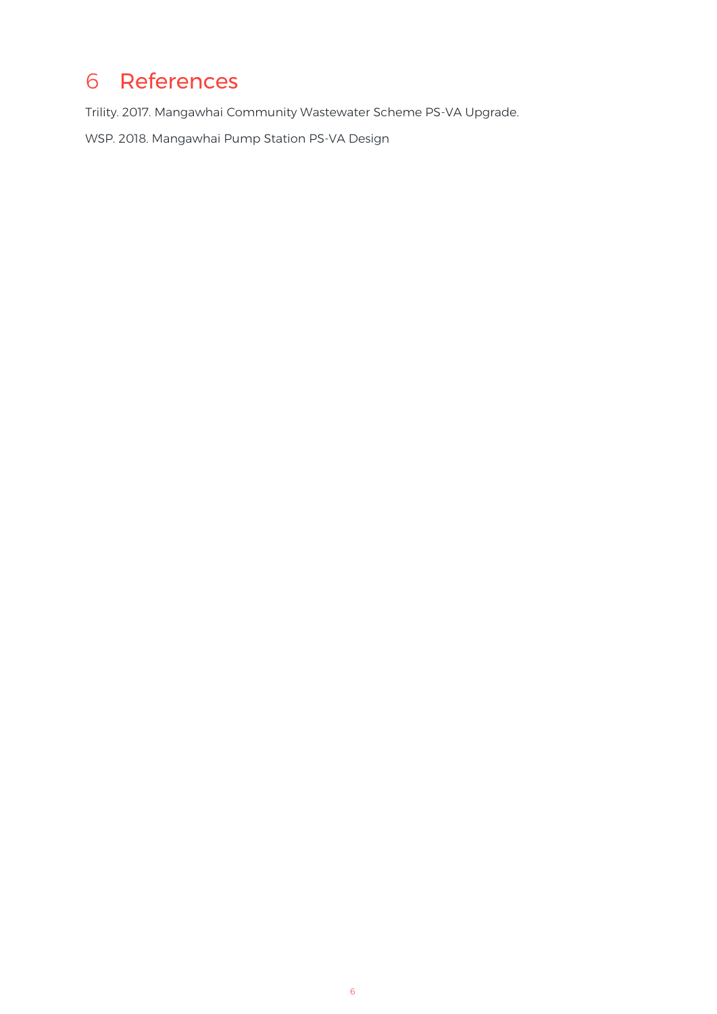## 6 References

Trility. 2017. Mangawhai Community Wastewater Scheme PS-VA Upgrade.

WSP. 2018. Mangawhai Pump Station PS-VA Design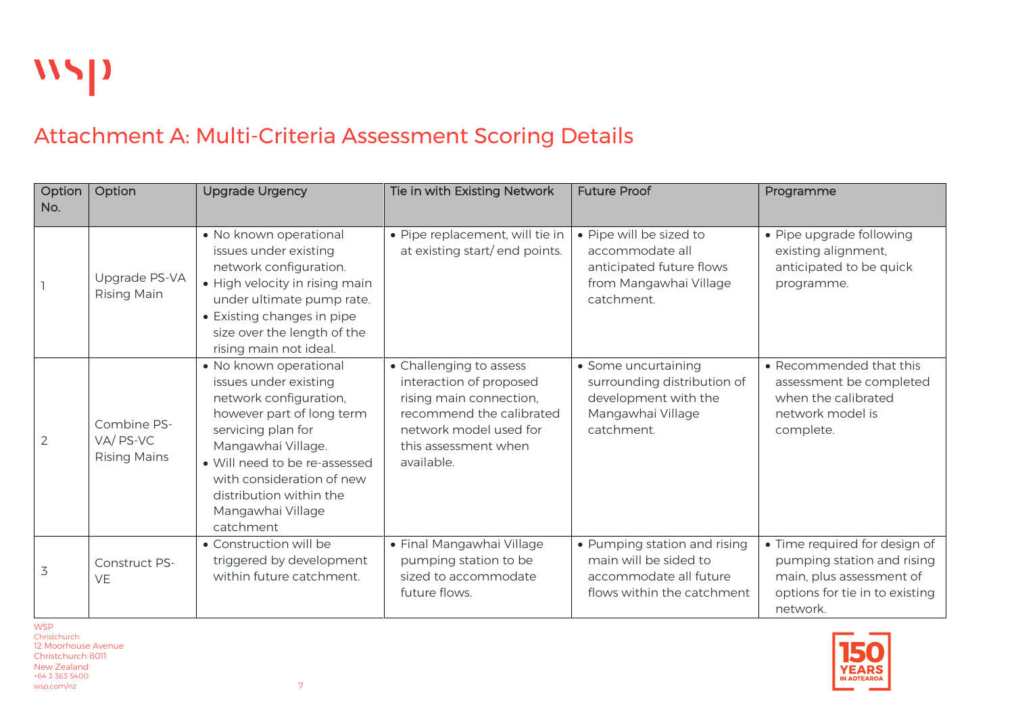## Attachment A: Multi-Criteria Assessment Scoring Details

| Option<br>No.  | Option                                         | <b>Upgrade Urgency</b>                                                                                                                                                                                                                                                        | Tie in with Existing Network                                                                                                                                              | <b>Future Proof</b>                                                                                            | Programme                                                                                                                             |
|----------------|------------------------------------------------|-------------------------------------------------------------------------------------------------------------------------------------------------------------------------------------------------------------------------------------------------------------------------------|---------------------------------------------------------------------------------------------------------------------------------------------------------------------------|----------------------------------------------------------------------------------------------------------------|---------------------------------------------------------------------------------------------------------------------------------------|
|                | Upgrade PS-VA<br>Rising Main                   | · No known operational<br>issues under existing<br>network configuration.<br>• High velocity in rising main<br>under ultimate pump rate.<br>• Existing changes in pipe<br>size over the length of the<br>rising main not ideal.                                               | · Pipe replacement, will tie in<br>at existing start/end points.                                                                                                          | • Pipe will be sized to<br>accommodate all<br>anticipated future flows<br>from Mangawhai Village<br>catchment. | • Pipe upgrade following<br>existing alignment,<br>anticipated to be quick<br>programme.                                              |
| $\overline{2}$ | Combine PS-<br>VA/PS-VC<br><b>Rising Mains</b> | • No known operational<br>issues under existing<br>network configuration,<br>however part of long term<br>servicing plan for<br>Mangawhai Village.<br>• Will need to be re-assessed<br>with consideration of new<br>distribution within the<br>Mangawhai Village<br>catchment | • Challenging to assess<br>interaction of proposed<br>rising main connection,<br>recommend the calibrated<br>network model used for<br>this assessment when<br>available. | • Some uncurtaining<br>surrounding distribution of<br>development with the<br>Mangawhai Village<br>catchment.  | • Recommended that this<br>assessment be completed<br>when the calibrated<br>network model is<br>complete.                            |
| 3              | <b>Construct PS-</b><br><b>VE</b>              | • Construction will be<br>triggered by development<br>within future catchment.                                                                                                                                                                                                | · Final Mangawhai Village<br>pumping station to be<br>sized to accommodate<br>future flows.                                                                               | • Pumping station and rising<br>main will be sided to<br>accommodate all future<br>flows within the catchment  | · Time required for design of<br>pumping station and rising<br>main, plus assessment of<br>options for tie in to existing<br>network. |